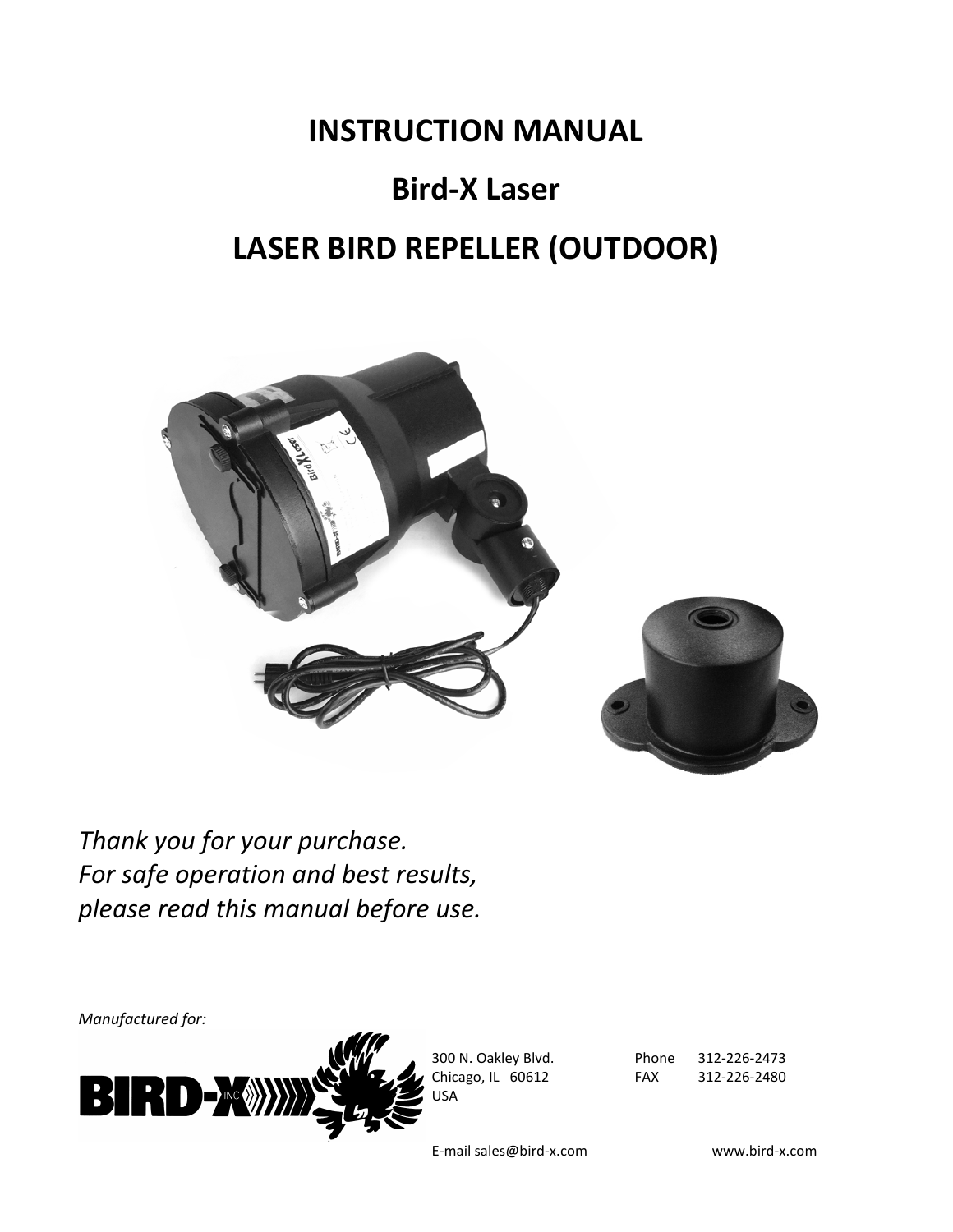# **INSTRUCTION MANUAL Bird-X Laser LASER BIRD REPELLER (OUTDOOR)**



*Thank you for your purchase. For safe operation and best results, please read this manual before use.*

*Manufactured for:*



300 N. Oakley Blvd. Chicago, IL 60612 USA

Phone FAX 312-226-2473 312-226-2480

E-mail sales@bird-x.com www.bird-x.com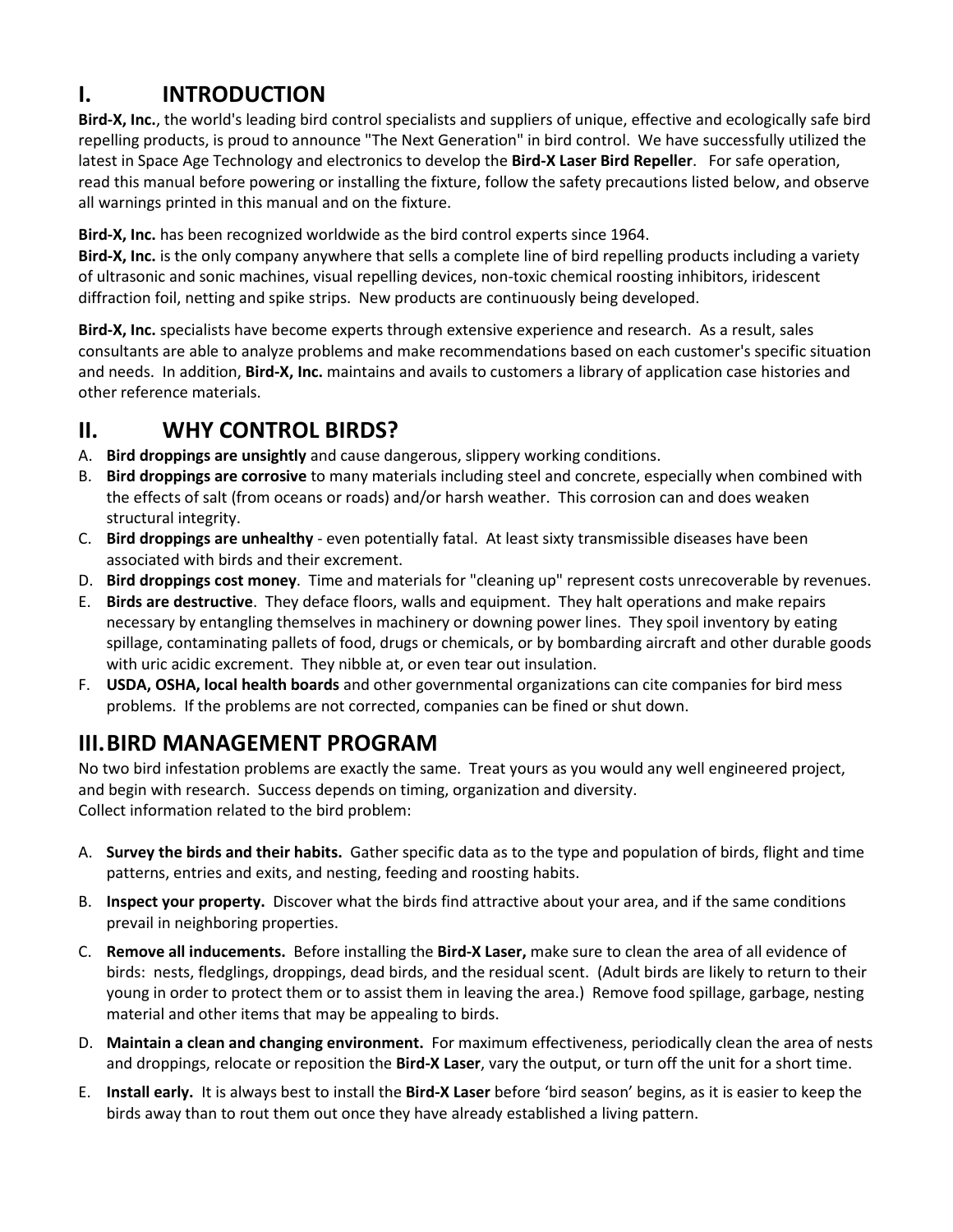# **I. INTRODUCTION**

**Bird-X, Inc.**, the world's leading bird control specialists and suppliers of unique, effective and ecologically safe bird repelling products, is proud to announce "The Next Generation" in bird control. We have successfully utilized the latest in Space Age Technology and electronics to develop the **Bird-X Laser Bird Repeller**. For safe operation, read this manual before powering or installing the fixture, follow the safety precautions listed below, and observe all warnings printed in this manual and on the fixture.

**Bird-X, Inc.** has been recognized worldwide as the bird control experts since 1964.

**Bird-X, Inc.** is the only company anywhere that sells a complete line of bird repelling products including a variety of ultrasonic and sonic machines, visual repelling devices, non-toxic chemical roosting inhibitors, iridescent diffraction foil, netting and spike strips. New products are continuously being developed.

**Bird-X, Inc.** specialists have become experts through extensive experience and research. As a result, sales consultants are able to analyze problems and make recommendations based on each customer's specific situation and needs. In addition, **Bird-X, Inc.** maintains and avails to customers a library of application case histories and other reference materials.

## **II. WHY CONTROL BIRDS?**

- A. **Bird droppings are unsightly** and cause dangerous, slippery working conditions.
- B. **Bird droppings are corrosive** to many materials including steel and concrete, especially when combined with the effects of salt (from oceans or roads) and/or harsh weather. This corrosion can and does weaken structural integrity.
- C. **Bird droppings are unhealthy** even potentially fatal. At least sixty transmissible diseases have been associated with birds and their excrement.
- D. **Bird droppings cost money**. Time and materials for "cleaning up" represent costs unrecoverable by revenues.
- E. **Birds are destructive**. They deface floors, walls and equipment. They halt operations and make repairs necessary by entangling themselves in machinery or downing power lines. They spoil inventory by eating spillage, contaminating pallets of food, drugs or chemicals, or by bombarding aircraft and other durable goods with uric acidic excrement. They nibble at, or even tear out insulation.
- F. **USDA, OSHA, local health boards** and other governmental organizations can cite companies for bird mess problems. If the problems are not corrected, companies can be fined or shut down.

## **III.BIRD MANAGEMENT PROGRAM**

No two bird infestation problems are exactly the same. Treat yours as you would any well engineered project, and begin with research. Success depends on timing, organization and diversity. Collect information related to the bird problem:

- A. **Survey the birds and their habits.** Gather specific data as to the type and population of birds, flight and time patterns, entries and exits, and nesting, feeding and roosting habits.
- B. **Inspect your property.** Discover what the birds find attractive about your area, and if the same conditions prevail in neighboring properties.
- C. **Remove all inducements.** Before installing the **Bird-X Laser,** make sure to clean the area of all evidence of birds: nests, fledglings, droppings, dead birds, and the residual scent. (Adult birds are likely to return to their young in order to protect them or to assist them in leaving the area.) Remove food spillage, garbage, nesting material and other items that may be appealing to birds.
- D. **Maintain a clean and changing environment.** For maximum effectiveness, periodically clean the area of nests and droppings, relocate or reposition the **Bird-X Laser**, vary the output, or turn off the unit for a short time.
- E. **Install early.** It is always best to install the **Bird-X Laser** before 'bird season' begins, as it is easier to keep the birds away than to rout them out once they have already established a living pattern.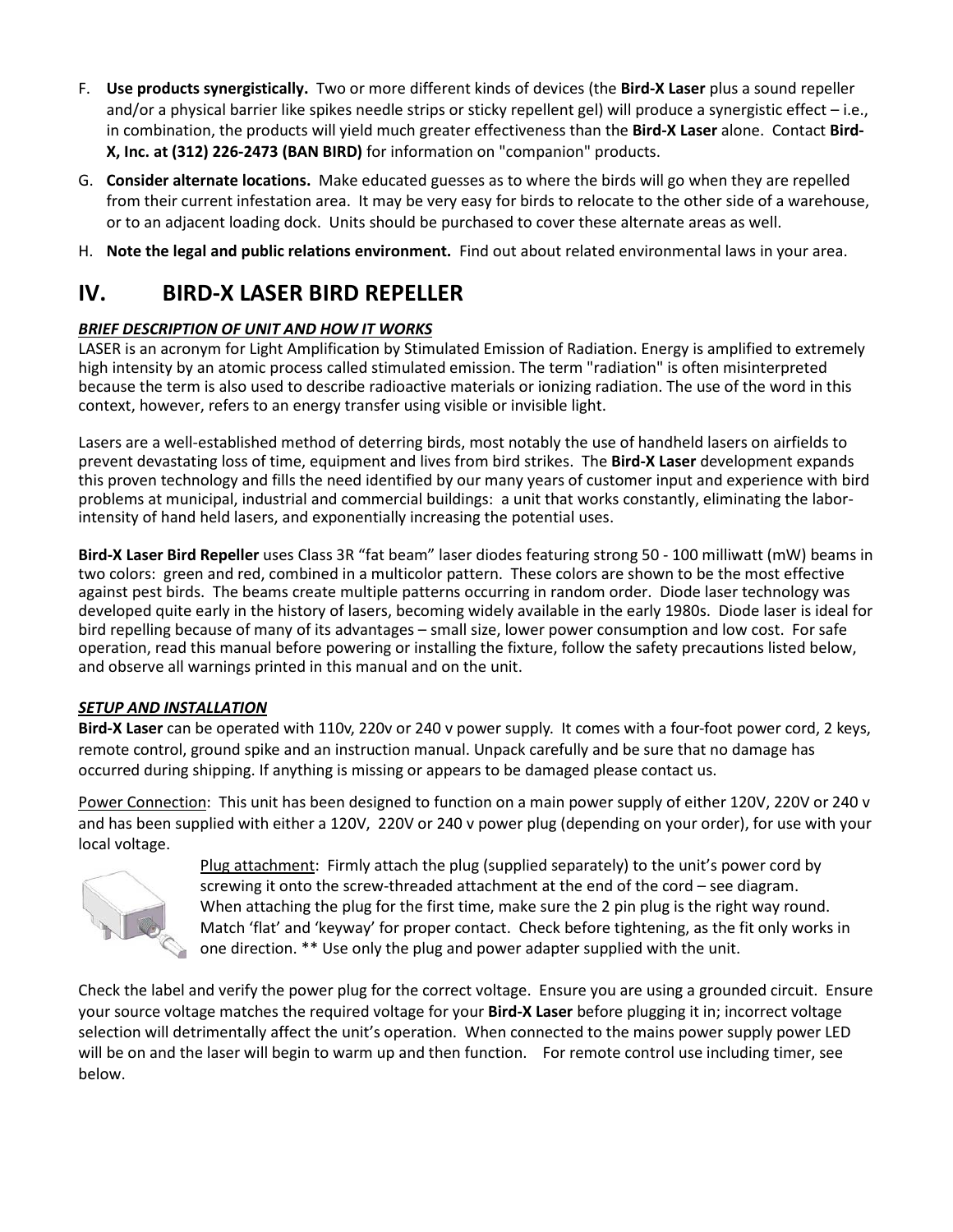- F. **Use products synergistically.** Two or more different kinds of devices (the **Bird-X Laser** plus a sound repeller and/or a physical barrier like spikes needle strips or sticky repellent gel) will produce a synergistic effect – i.e., in combination, the products will yield much greater effectiveness than the **Bird-X Laser** alone. Contact **Bird-X, Inc. at (312) 226-2473 (BAN BIRD)** for information on "companion" products.
- G. **Consider alternate locations.** Make educated guesses as to where the birds will go when they are repelled from their current infestation area. It may be very easy for birds to relocate to the other side of a warehouse, or to an adjacent loading dock. Units should be purchased to cover these alternate areas as well.
- H. **Note the legal and public relations environment.** Find out about related environmental laws in your area.

## **IV. BIRD-X LASER BIRD REPELLER**

#### *BRIEF DESCRIPTION OF UNIT AND HOW IT WORKS*

LASER is an acronym for Light Amplification by Stimulated Emission of Radiation. Energy is amplified to extremely high intensity by an atomic process called stimulated emission. The term "radiation" is often misinterpreted because the term is also used to describe radioactive materials or ionizing radiation. The use of the word in this context, however, refers to an energy transfer using visible or invisible light.

Lasers are a well-established method of deterring birds, most notably the use of handheld lasers on airfields to prevent devastating loss of time, equipment and lives from bird strikes. The **Bird-X Laser** development expands this proven technology and fills the need identified by our many years of customer input and experience with bird problems at municipal, industrial and commercial buildings: a unit that works constantly, eliminating the laborintensity of hand held lasers, and exponentially increasing the potential uses.

**Bird-X Laser Bird Repeller** uses Class 3R "fat beam" laser diodes featuring strong 50 - 100 milliwatt (mW) beams in two colors: green and red, combined in a multicolor pattern. These colors are shown to be the most effective against pest birds. The beams create multiple patterns occurring in random order. Diode laser technology was developed quite early in the history of lasers, becoming widely available in the early 1980s. Diode laser is ideal for bird repelling because of many of its advantages – small size, lower power consumption and low cost. For safe operation, read this manual before powering or installing the fixture, follow the safety precautions listed below, and observe all warnings printed in this manual and on the unit.

#### *SETUP AND INSTALLATION*

**Bird-X Laser** can be operated with 110v, 220v or 240 v power supply. It comes with a four-foot power cord, 2 keys, remote control, ground spike and an instruction manual. Unpack carefully and be sure that no damage has occurred during shipping. If anything is missing or appears to be damaged please contact us.

Power Connection: This unit has been designed to function on a main power supply of either 120V, 220V or 240 v and has been supplied with either a 120V, 220V or 240 v power plug (depending on your order), for use with your local voltage.



Plug attachment: Firmly attach the plug (supplied separately) to the unit's power cord by screwing it onto the screw-threaded attachment at the end of the cord – see diagram. When attaching the plug for the first time, make sure the 2 pin plug is the right way round. Match 'flat' and 'keyway' for proper contact. Check before tightening, as the fit only works in one direction. \*\* Use only the plug and power adapter supplied with the unit.

Check the label and verify the power plug for the correct voltage. Ensure you are using a grounded circuit. Ensure your source voltage matches the required voltage for your **Bird-X Laser** before plugging it in; incorrect voltage selection will detrimentally affect the unit's operation. When connected to the mains power supply power LED will be on and the laser will begin to warm up and then function. For remote control use including timer, see below.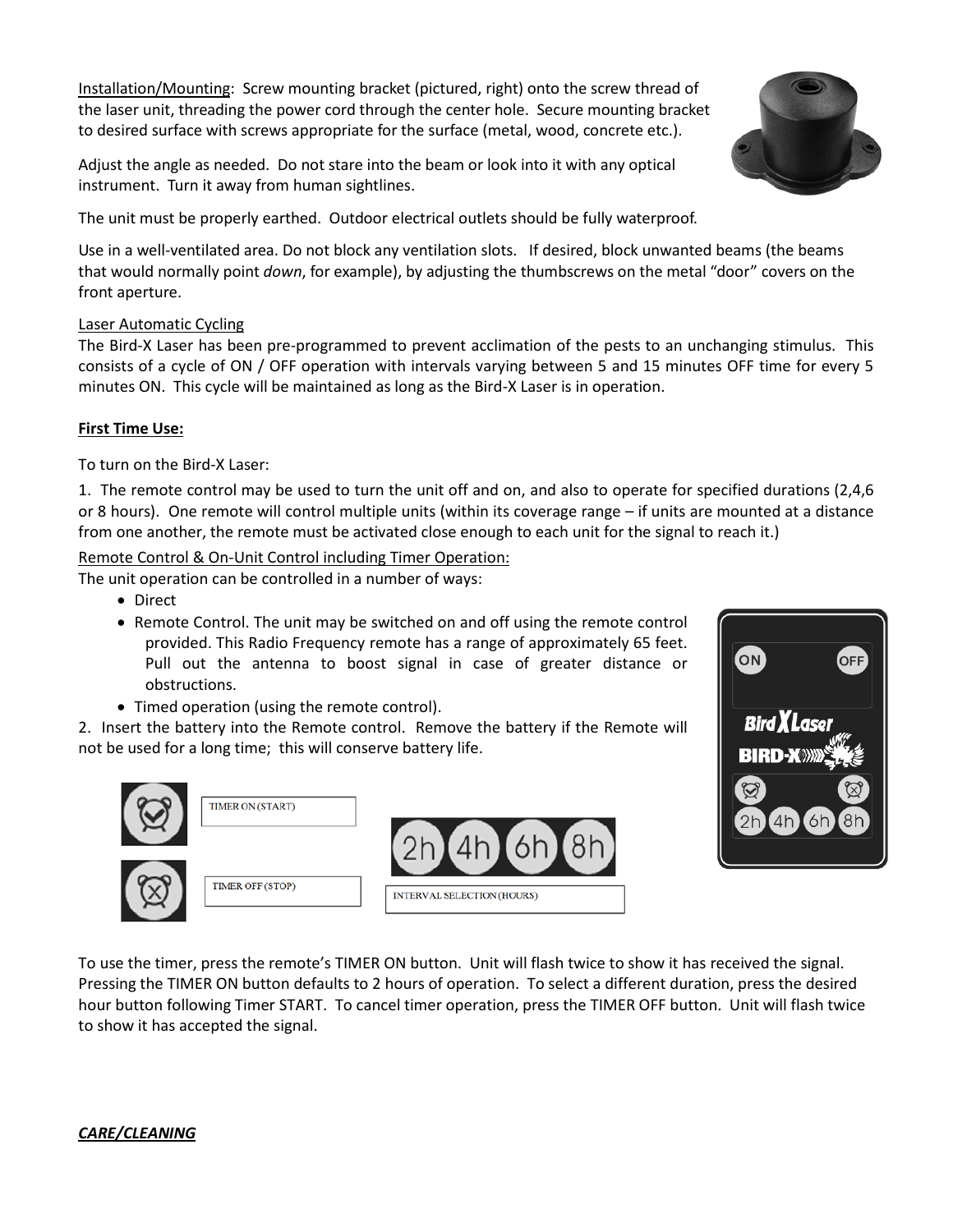Installation/Mounting: Screw mounting bracket (pictured, right) onto the screw thread of the laser unit, threading the power cord through the center hole. Secure mounting bracket to desired surface with screws appropriate for the surface (metal, wood, concrete etc.).

Adjust the angle as needed. Do not stare into the beam or look into it with any optical instrument. Turn it away from human sightlines.

The unit must be properly earthed. Outdoor electrical outlets should be fully waterproof.

Use in a well-ventilated area. Do not block any ventilation slots. If desired, block unwanted beams (the beams that would normally point *down*, for example), by adjusting the thumbscrews on the metal "door" covers on the front aperture.

#### Laser Automatic Cycling

The Bird-X Laser has been pre-programmed to prevent acclimation of the pests to an unchanging stimulus. This consists of a cycle of ON / OFF operation with intervals varying between 5 and 15 minutes OFF time for every 5 minutes ON. This cycle will be maintained as long as the Bird-X Laser is in operation.

#### **First Time Use:**

To turn on the Bird-X Laser:

1. The remote control may be used to turn the unit off and on, and also to operate for specified durations (2,4,6 or 8 hours). One remote will control multiple units (within its coverage range – if units are mounted at a distance from one another, the remote must be activated close enough to each unit for the signal to reach it.)

Remote Control & On-Unit Control including Timer Operation:

The unit operation can be controlled in a number of ways:

- Direct
- Remote Control. The unit may be switched on and off using the remote control provided. This Radio Frequency remote has a range of approximately 65 feet. Pull out the antenna to boost signal in case of greater distance or obstructions.
- Timed operation (using the remote control).

2. Insert the battery into the Remote control. Remove the battery if the Remote will not be used for a long time; this will conserve battery life.





To use the timer, press the remote's TIMER ON button. Unit will flash twice to show it has received the signal. Pressing the TIMER ON button defaults to 2 hours of operation. To select a different duration, press the desired hour button following Timer START. To cancel timer operation, press the TIMER OFF button. Unit will flash twice to show it has accepted the signal.

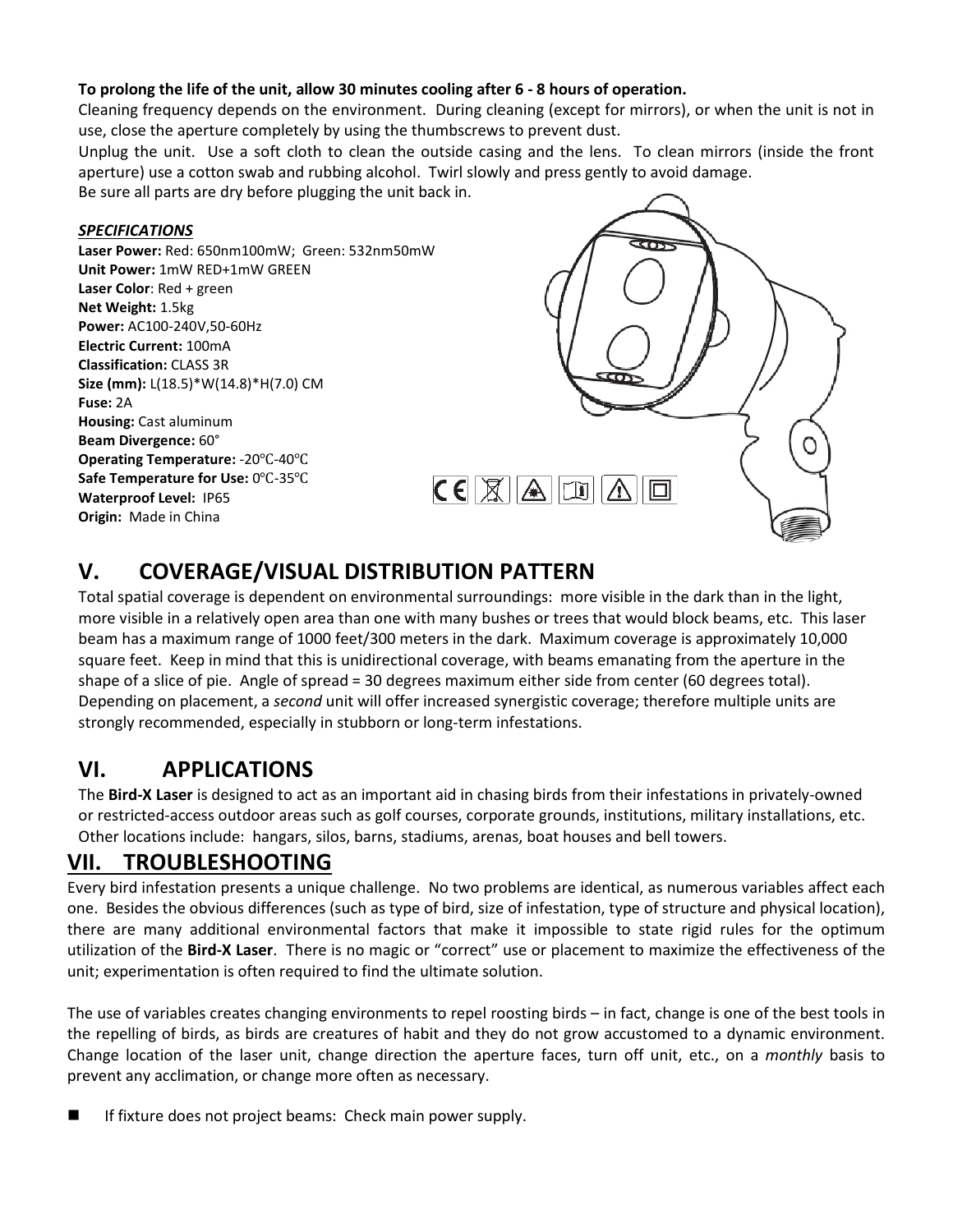#### **To prolong the life of the unit, allow 30 minutes cooling after 6 - 8 hours of operation.**

Cleaning frequency depends on the environment. During cleaning (except for mirrors), or when the unit is not in use, close the aperture completely by using the thumbscrews to prevent dust.

Unplug the unit. Use a soft cloth to clean the outside casing and the lens. To clean mirrors (inside the front aperture) use a cotton swab and rubbing alcohol. Twirl slowly and press gently to avoid damage.

Be sure all parts are dry before plugging the unit back in.

#### *SPECIFICATIONS*

**Laser Power:** Red: 650nm100mW; Green: 532nm50mW **Unit Power:** 1mW RED+1mW GREEN **Laser Color**: Red + green **Net Weight:** 1.5kg **Power:** AC100-240V,50-60Hz **Electric Current:** 100mA **Classification:** CLASS 3R **Size (mm):** L(18.5)\*W(14.8)\*H(7.0) CM **Fuse:** 2A **Housing:** Cast aluminum **Beam Divergence:** 60° **Operating Temperature:** -20℃-40℃ **Safe Temperature for Use:** 0℃-35℃ **Waterproof Level:** IP65 **Origin:** Made in China



# **V. COVERAGE/VISUAL DISTRIBUTION PATTERN**

Total spatial coverage is dependent on environmental surroundings: more visible in the dark than in the light, more visible in a relatively open area than one with many bushes or trees that would block beams, etc. This laser beam has a maximum range of 1000 feet/300 meters in the dark. Maximum coverage is approximately 10,000 square feet. Keep in mind that this is unidirectional coverage, with beams emanating from the aperture in the shape of a slice of pie. Angle of spread = 30 degrees maximum either side from center (60 degrees total). Depending on placement, a *second* unit will offer increased synergistic coverage; therefore multiple units are strongly recommended, especially in stubborn or long-term infestations.

## **VI. APPLICATIONS**

The **Bird-X Laser** is designed to act as an important aid in chasing birds from their infestations in privately-owned or restricted-access outdoor areas such as golf courses, corporate grounds, institutions, military installations, etc. Other locations include: hangars, silos, barns, stadiums, arenas, boat houses and bell towers.

## **VII. TROUBLESHOOTING**

Every bird infestation presents a unique challenge. No two problems are identical, as numerous variables affect each one. Besides the obvious differences (such as type of bird, size of infestation, type of structure and physical location), there are many additional environmental factors that make it impossible to state rigid rules for the optimum utilization of the **Bird-X Laser**. There is no magic or "correct" use or placement to maximize the effectiveness of the unit; experimentation is often required to find the ultimate solution.

The use of variables creates changing environments to repel roosting birds – in fact, change is one of the best tools in the repelling of birds, as birds are creatures of habit and they do not grow accustomed to a dynamic environment. Change location of the laser unit, change direction the aperture faces, turn off unit, etc., on a *monthly* basis to prevent any acclimation, or change more often as necessary.

If fixture does not project beams: Check main power supply.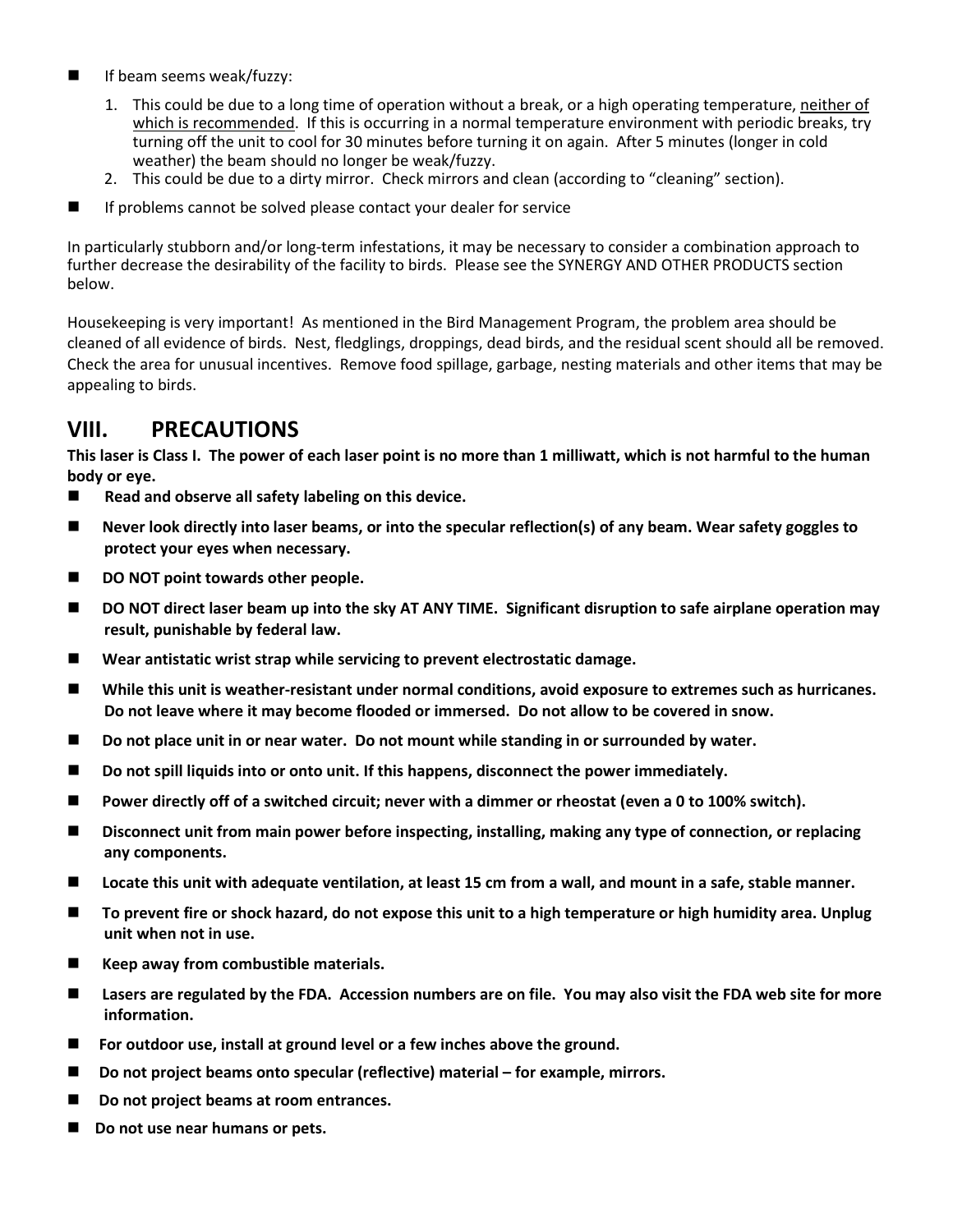- **If beam seems weak/fuzzy:** 
	- 1. This could be due to a long time of operation without a break, or a high operating temperature, neither of which is recommended. If this is occurring in a normal temperature environment with periodic breaks, try turning off the unit to cool for 30 minutes before turning it on again. After 5 minutes (longer in cold weather) the beam should no longer be weak/fuzzy.
	- 2. This could be due to a dirty mirror. Check mirrors and clean (according to "cleaning" section).
- $\blacksquare$  If problems cannot be solved please contact your dealer for service

In particularly stubborn and/or long-term infestations, it may be necessary to consider a combination approach to further decrease the desirability of the facility to birds. Please see the SYNERGY AND OTHER PRODUCTS section below.

Housekeeping is very important! As mentioned in the Bird Management Program, the problem area should be cleaned of all evidence of birds. Nest, fledglings, droppings, dead birds, and the residual scent should all be removed. Check the area for unusual incentives. Remove food spillage, garbage, nesting materials and other items that may be appealing to birds.

## **VIII. PRECAUTIONS**

**This laser is Class I. The power of each laser point is no more than 1 milliwatt, which is not harmful to the human body or eye.**

- **Read and observe all safety labeling on this device.**
- Never look directly into laser beams, or into the specular reflection(s) of any beam. Wear safety goggles to **protect your eyes when necessary.**
- DO NOT point towards other people.
- DO NOT direct laser beam up into the sky AT ANY TIME. Significant disruption to safe airplane operation may **result, punishable by federal law.**
- **Wear antistatic wrist strap while servicing to prevent electrostatic damage.**
- **While this unit is weather-resistant under normal conditions, avoid exposure to extremes such as hurricanes. Do not leave where it may become flooded or immersed. Do not allow to be covered in snow.**
- Do not place unit in or near water. Do not mount while standing in or surrounded by water.
- Do not spill liquids into or onto unit. If this happens, disconnect the power immediately.
- **Power directly off of a switched circuit; never with a dimmer or rheostat (even a 0 to 100% switch).**
- Disconnect unit from main power before inspecting, installing, making any type of connection, or replacing **any components.**
- **Locate this unit with adequate ventilation, at least 15 cm from a wall, and mount in a safe, stable manner.**
- To prevent fire or shock hazard, do not expose this unit to a high temperature or high humidity area. Unplug **unit when not in use.**
- Keep away from combustible materials.
- **Lasers are regulated by the FDA. Accession numbers are on file. You may also visit the FDA web site for more information.**
- **For outdoor use, install at ground level or a few inches above the ground.**
- **Do not project beams onto specular (reflective) material – for example, mirrors.**
- Do not project beams at room entrances.
- Do not use near humans or pets.